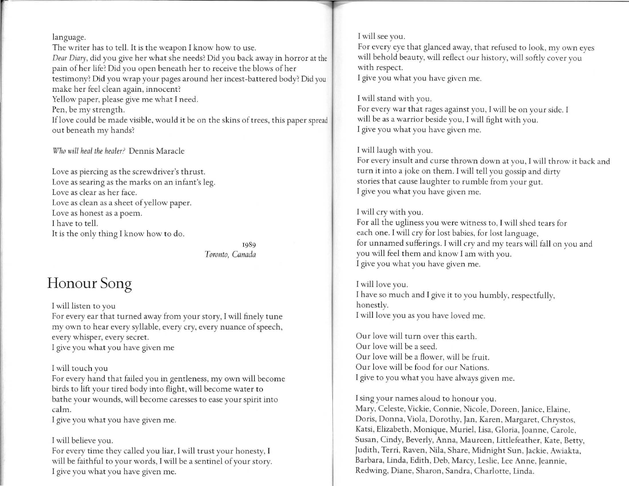language.

The writer has to tell. It is the weapon I know how to use. *Dear Diary,* did you give her what she needs? Did you back away in horror at the pain of her life? Did you open beneath her to receive the blows of her testimony? Did you wrap your pages around her incest-battered body? Did you make her feel clean again, innocent!

Yellow paper, please give me what I need.

Pen, be my strength.

If love could be made visible, would it be on the skins of trees, this paper spread out beneath my hands?

*Who will heal the healer.?* Dennis Maracle

Love as piercing as the screwdriver's thrust. Love as searing as the marks on an infant's leg. Love as clear as her face. Love as clean as a sheet of yellow paper. Love as honest as a poem. I have to tell. It is the only thing I know how to do.

> 1989 *Toronto, Canada*

# **Honour Song**

I will listen to you For every ear that turned away from your story, I will finely tune my own to hear every syllable, every cry, every nuance of speech, every whisper, every secret.

I give you what you have given me

### I will touch you

For every hand that failed you in gentleness, my own will become birds to lift your tired body into flight, will become water to bathe your wounds, will become caresses to ease your spirit into calm.

I give you what you have given me.

### I will believe you.

For every time they called you liar, I will trust your honesty, I will be faithful to your words, I will be a sentinel of your story. I give you what you have given me.

#### I will see you.

For every eye that glanced away, that refused to look, my own eyes will behold beauty, will reflect our history, will softly coyer you with respect.

I give you what you have given me.

I will stand with you.

For every war that rages against you, I will be on your side. I will be as a warrior beside you, I will fight with you. I give you what you have given me.

## I will laugh with you.

For every insult and curse thrown down at you, I will throw it back and turn it into a joke on them. I will tell you gossip and dirty stories that cause laughter to rumble from your gut. I give you what you have given me.

## I will cry with you.

For all the ugliness you were witness to, I will shed tears for each one. I will cry for lost babies, for lost language, for unnamed sufferings. I will cry and my tears will fall on you and you will feel them and know I am with you. I give you what you have given me.

I will love you. I have so much and I give it to you humbly, respectfully, honestly. I will love you as you have loved me.

Our love will turn over this earth. Our love will be a seed. Our love will be a flower, will be fruit. Our love will be food for our Nations. I give to you what you have always given me.

I sing your names aloud to honour you.

Mary, Celeste, Vickie, Connie, Nicole, Doreen, Janice, Elaine, Doris, Donna, Viola, Dorothy, Jan, Karen, Margaret, Chrystos, Katsi, Elizabeth, Monique, Muriel, Lisa, Gloria, Joanne, Carole, Susan, Cindy, Beverly, Anna, Maureen, Littlefeather, Kate, Betty, Judith, Terri, Raven, Nila, Share, Midnight Sun, Jackie, Awiakta, Barbara, Linda, Edith, Deb, Marcy, Leslie, Lee Anne, Jeannie, Redwing, Diane, Sharon, Sandra, Charlotte, Linda.